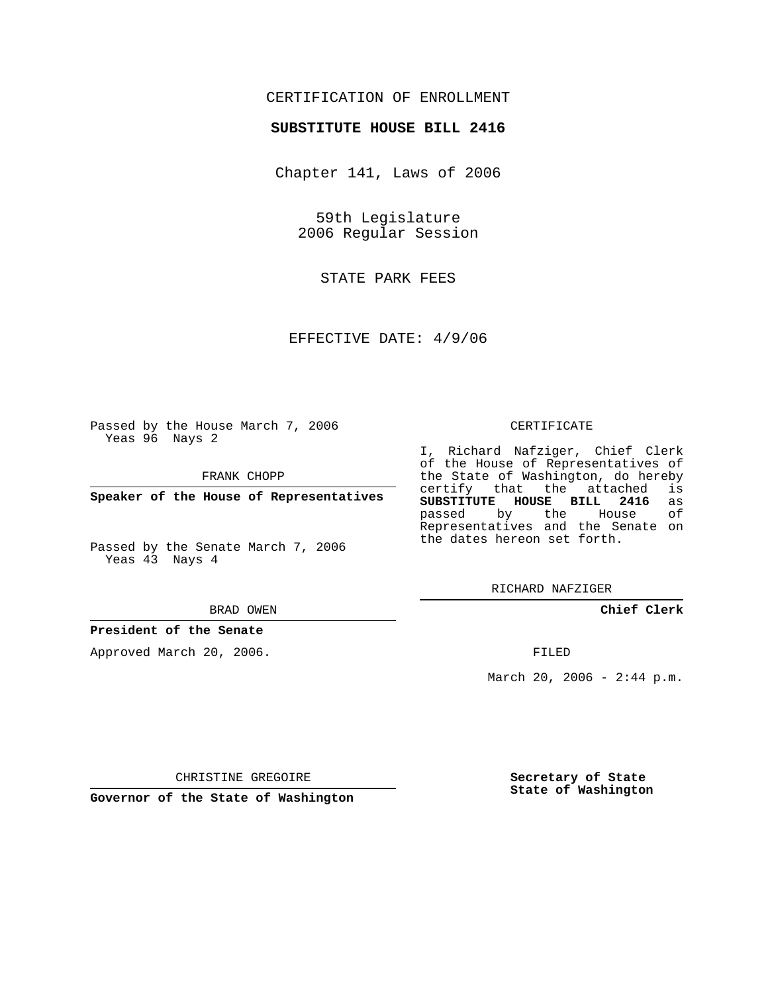# CERTIFICATION OF ENROLLMENT

## **SUBSTITUTE HOUSE BILL 2416**

Chapter 141, Laws of 2006

59th Legislature 2006 Regular Session

STATE PARK FEES

EFFECTIVE DATE: 4/9/06

Passed by the House March 7, 2006 Yeas 96 Nays 2

FRANK CHOPP

**Speaker of the House of Representatives**

Passed by the Senate March 7, 2006 Yeas 43 Nays 4

#### BRAD OWEN

## **President of the Senate**

Approved March 20, 2006.

#### CERTIFICATE

I, Richard Nafziger, Chief Clerk of the House of Representatives of the State of Washington, do hereby<br>certify that the attached is certify that the attached **SUBSTITUTE HOUSE BILL 2416** as passed by the House Representatives and the Senate on the dates hereon set forth.

RICHARD NAFZIGER

**Chief Clerk**

FILED

March 20, 2006 -  $2:44$  p.m.

CHRISTINE GREGOIRE

**Governor of the State of Washington**

**Secretary of State State of Washington**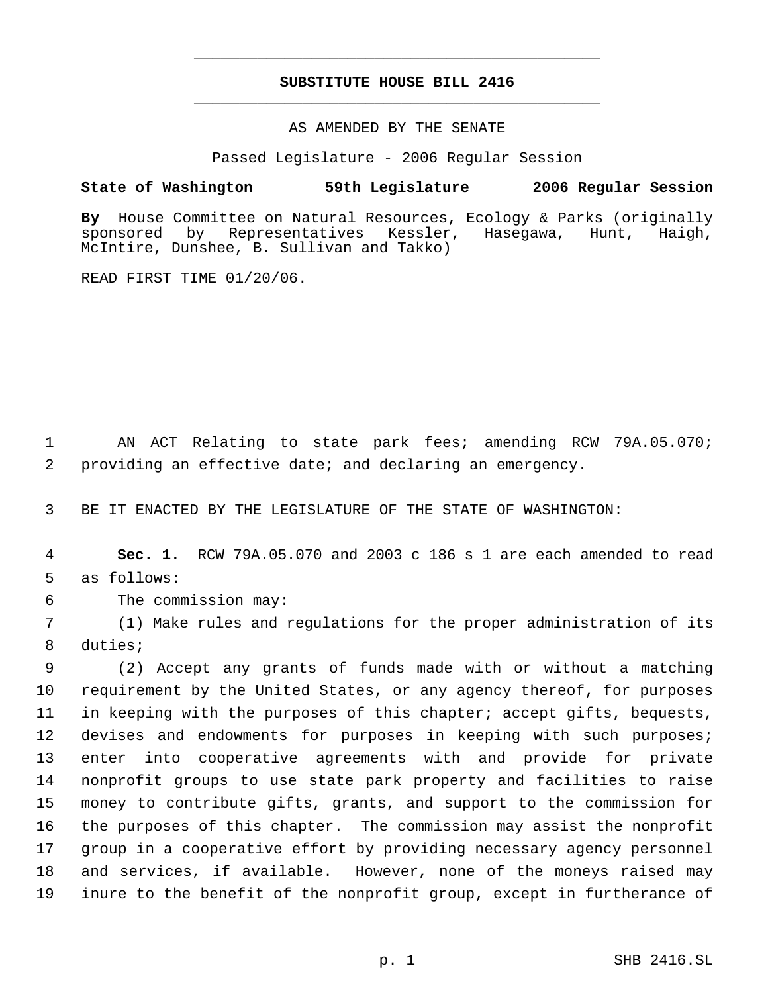# **SUBSTITUTE HOUSE BILL 2416** \_\_\_\_\_\_\_\_\_\_\_\_\_\_\_\_\_\_\_\_\_\_\_\_\_\_\_\_\_\_\_\_\_\_\_\_\_\_\_\_\_\_\_\_\_

\_\_\_\_\_\_\_\_\_\_\_\_\_\_\_\_\_\_\_\_\_\_\_\_\_\_\_\_\_\_\_\_\_\_\_\_\_\_\_\_\_\_\_\_\_

### AS AMENDED BY THE SENATE

Passed Legislature - 2006 Regular Session

## **State of Washington 59th Legislature 2006 Regular Session**

By House Committee on Natural Resources, Ecology & Parks (originally sponsored by Representatives Kessler, Hasegawa, Hunt, Haigh, sponsored by Representatives Kessler, Hasegawa, Hunt, Haigh, McIntire, Dunshee, B. Sullivan and Takko)

READ FIRST TIME 01/20/06.

 1 AN ACT Relating to state park fees; amending RCW 79A.05.070; 2 providing an effective date; and declaring an emergency.

3 BE IT ENACTED BY THE LEGISLATURE OF THE STATE OF WASHINGTON:

 4 **Sec. 1.** RCW 79A.05.070 and 2003 c 186 s 1 are each amended to read 5 as follows:

6 The commission may:

 7 (1) Make rules and regulations for the proper administration of its 8 duties;

 (2) Accept any grants of funds made with or without a matching requirement by the United States, or any agency thereof, for purposes in keeping with the purposes of this chapter; accept gifts, bequests, 12 devises and endowments for purposes in keeping with such purposes; enter into cooperative agreements with and provide for private nonprofit groups to use state park property and facilities to raise money to contribute gifts, grants, and support to the commission for the purposes of this chapter. The commission may assist the nonprofit group in a cooperative effort by providing necessary agency personnel and services, if available. However, none of the moneys raised may inure to the benefit of the nonprofit group, except in furtherance of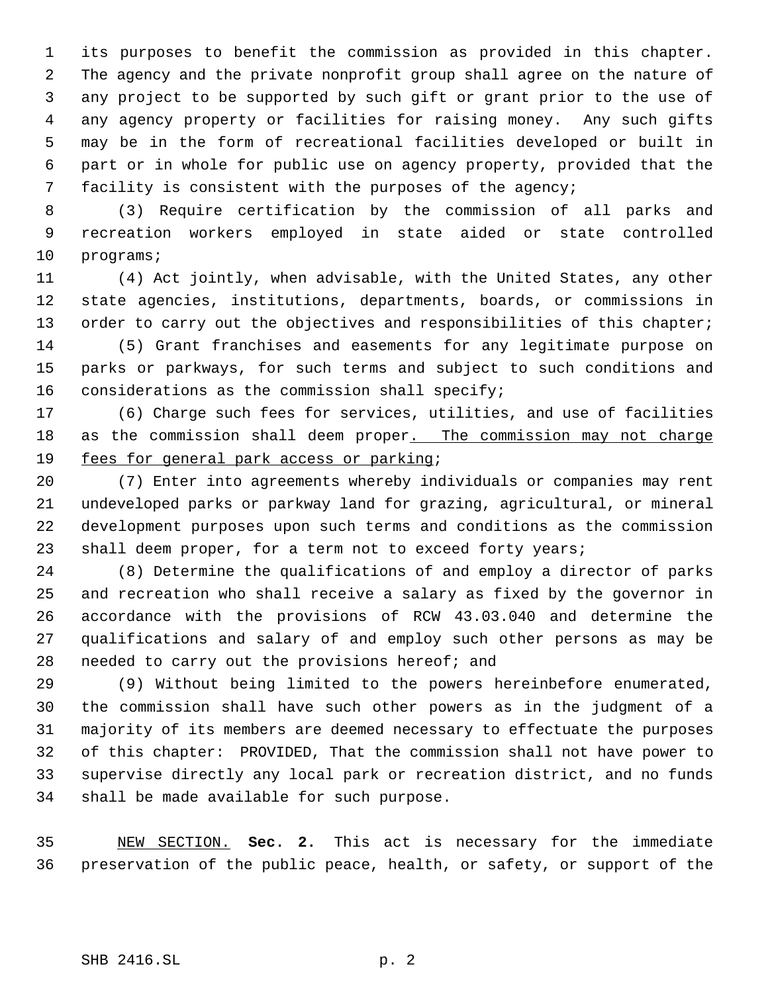its purposes to benefit the commission as provided in this chapter. The agency and the private nonprofit group shall agree on the nature of any project to be supported by such gift or grant prior to the use of any agency property or facilities for raising money. Any such gifts may be in the form of recreational facilities developed or built in part or in whole for public use on agency property, provided that the facility is consistent with the purposes of the agency;

 (3) Require certification by the commission of all parks and recreation workers employed in state aided or state controlled programs;

 (4) Act jointly, when advisable, with the United States, any other state agencies, institutions, departments, boards, or commissions in 13 order to carry out the objectives and responsibilities of this chapter; (5) Grant franchises and easements for any legitimate purpose on

 parks or parkways, for such terms and subject to such conditions and considerations as the commission shall specify;

 (6) Charge such fees for services, utilities, and use of facilities 18 as the commission shall deem proper. The commission may not charge 19 fees for general park access or parking;

 (7) Enter into agreements whereby individuals or companies may rent undeveloped parks or parkway land for grazing, agricultural, or mineral development purposes upon such terms and conditions as the commission shall deem proper, for a term not to exceed forty years;

 (8) Determine the qualifications of and employ a director of parks and recreation who shall receive a salary as fixed by the governor in accordance with the provisions of RCW 43.03.040 and determine the qualifications and salary of and employ such other persons as may be needed to carry out the provisions hereof; and

 (9) Without being limited to the powers hereinbefore enumerated, the commission shall have such other powers as in the judgment of a majority of its members are deemed necessary to effectuate the purposes of this chapter: PROVIDED, That the commission shall not have power to supervise directly any local park or recreation district, and no funds shall be made available for such purpose.

 NEW SECTION. **Sec. 2.** This act is necessary for the immediate preservation of the public peace, health, or safety, or support of the

SHB 2416.SL p. 2